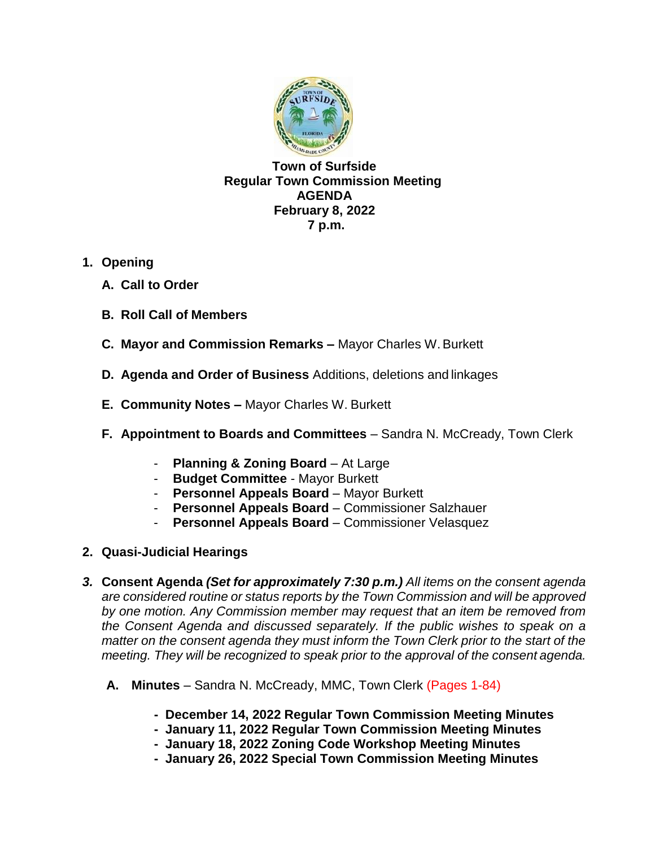

**Town of Surfside Regular Town Commission Meeting AGENDA February 8, 2022 7 p.m.**

- **1. Opening**
	- **A. Call to Order**
	- **B. Roll Call of Members**
	- **C. Mayor and Commission Remarks –** Mayor Charles W.Burkett
	- **D. Agenda and Order of Business** Additions, deletions and linkages
	- **E. Community Notes –** Mayor Charles W. Burkett
	- **F. Appointment to Boards and Committees** Sandra N. McCready, Town Clerk
		- **Planning & Zoning Board** At Large
		- **Budget Committee**  Mayor Burkett
		- **Personnel Appeals Board** Mayor Burkett
		- **Personnel Appeals Board** Commissioner Salzhauer
		- Personnel Appeals Board Commissioner Velasquez
- **2. Quasi-Judicial Hearings**
- *3.* **Consent Agenda** *(Set for approximately 7:30 p.m.) All items on the consent agenda are considered routine or status reports by the Town Commission and will be approved by one motion. Any Commission member may request that an item be removed from the Consent Agenda and discussed separately. If the public wishes to speak on a matter on the consent agenda they must inform the Town Clerk prior to the start of the meeting. They will be recognized to speak prior to the approval of the consent agenda.*
	- **A. Minutes**  Sandra N. McCready, MMC, Town Clerk (Pages 1-84)
		- **- December 14, 2022 Regular Town Commission Meeting Minutes**
		- **January 11, 2022 Regular Town Commission Meeting Minutes**
		- **- January 18, 2022 Zoning Code Workshop Meeting Minutes**
		- **- January 26, 2022 Special Town Commission Meeting Minutes**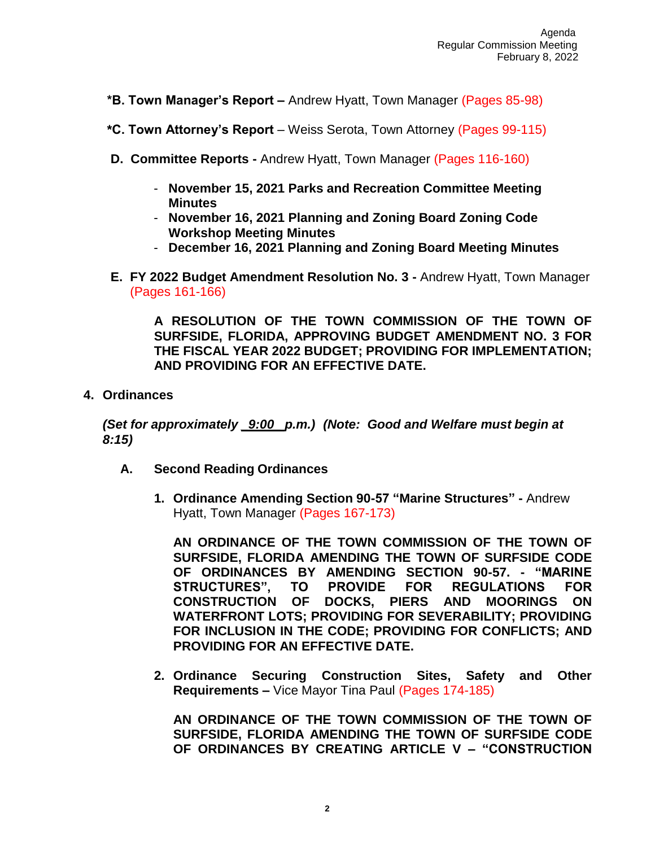- **\*B. Town Manager's Report –** Andrew Hyatt, Town Manager (Pages 85-98)
- **\*C. Town Attorney's Report**  Weiss Serota, Town Attorney (Pages 99-115)
- **D. Committee Reports -** Andrew Hyatt, Town Manager (Pages 116-160)
	- **November 15, 2021 Parks and Recreation Committee Meeting Minutes**
	- **November 16, 2021 Planning and Zoning Board Zoning Code Workshop Meeting Minutes**
	- **December 16, 2021 Planning and Zoning Board Meeting Minutes**
- **E. FY 2022 Budget Amendment Resolution No. 3 -** Andrew Hyatt, Town Manager (Pages 161-166)

**A RESOLUTION OF THE TOWN COMMISSION OF THE TOWN OF SURFSIDE, FLORIDA, APPROVING BUDGET AMENDMENT NO. 3 FOR THE FISCAL YEAR 2022 BUDGET; PROVIDING FOR IMPLEMENTATION; AND PROVIDING FOR AN EFFECTIVE DATE.**

**4. Ordinances**

*(Set for approximately \_9:00\_ p.m.) (Note: Good and Welfare must begin at 8:15)*

- **A. Second Reading Ordinances**
	- **1. Ordinance Amending Section 90-57 "Marine Structures" -** Andrew Hyatt, Town Manager (Pages 167-173)

**AN ORDINANCE OF THE TOWN COMMISSION OF THE TOWN OF SURFSIDE, FLORIDA AMENDING THE TOWN OF SURFSIDE CODE OF ORDINANCES BY AMENDING SECTION 90-57. - "MARINE STRUCTURES", TO PROVIDE FOR REGULATIONS FOR CONSTRUCTION OF DOCKS, PIERS AND MOORINGS ON WATERFRONT LOTS; PROVIDING FOR SEVERABILITY; PROVIDING FOR INCLUSION IN THE CODE; PROVIDING FOR CONFLICTS; AND PROVIDING FOR AN EFFECTIVE DATE.**

**2. Ordinance Securing Construction Sites, Safety and Other Requirements –** Vice Mayor Tina Paul (Pages 174-185)

**AN ORDINANCE OF THE TOWN COMMISSION OF THE TOWN OF SURFSIDE, FLORIDA AMENDING THE TOWN OF SURFSIDE CODE OF ORDINANCES BY CREATING ARTICLE V – "CONSTRUCTION**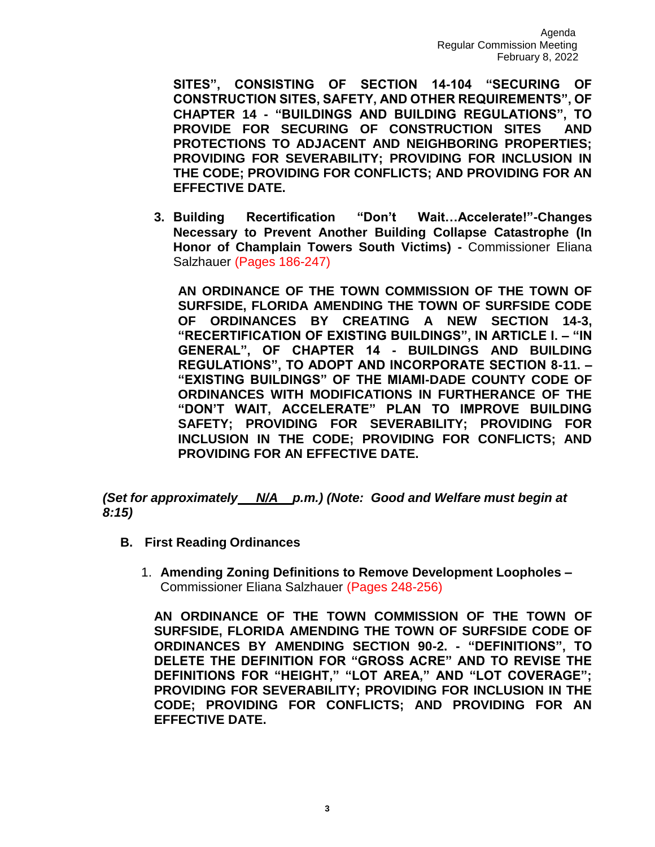**SITES", CONSISTING OF SECTION 14-104 "SECURING OF CONSTRUCTION SITES, SAFETY, AND OTHER REQUIREMENTS", OF CHAPTER 14 - "BUILDINGS AND BUILDING REGULATIONS", TO PROVIDE FOR SECURING OF CONSTRUCTION SITES AND PROTECTIONS TO ADJACENT AND NEIGHBORING PROPERTIES; PROVIDING FOR SEVERABILITY; PROVIDING FOR INCLUSION IN THE CODE; PROVIDING FOR CONFLICTS; AND PROVIDING FOR AN EFFECTIVE DATE.**

**3. Building Recertification "Don't Wait…Accelerate!"-Changes Necessary to Prevent Another Building Collapse Catastrophe (In Honor of Champlain Towers South Victims) -** Commissioner Eliana Salzhauer (Pages 186-247)

**AN ORDINANCE OF THE TOWN COMMISSION OF THE TOWN OF SURFSIDE, FLORIDA AMENDING THE TOWN OF SURFSIDE CODE OF ORDINANCES BY CREATING A NEW SECTION 14-3, "RECERTIFICATION OF EXISTING BUILDINGS", IN ARTICLE I. – "IN GENERAL", OF CHAPTER 14 - BUILDINGS AND BUILDING REGULATIONS", TO ADOPT AND INCORPORATE SECTION 8-11. – "EXISTING BUILDINGS" OF THE MIAMI-DADE COUNTY CODE OF ORDINANCES WITH MODIFICATIONS IN FURTHERANCE OF THE "DON'T WAIT, ACCELERATE" PLAN TO IMPROVE BUILDING SAFETY; PROVIDING FOR SEVERABILITY; PROVIDING FOR INCLUSION IN THE CODE; PROVIDING FOR CONFLICTS; AND PROVIDING FOR AN EFFECTIVE DATE.**

*(Set for approximately N/A p.m.) (Note: Good and Welfare must begin at 8:15)*

- **B. First Reading Ordinances**
	- 1. **Amending Zoning Definitions to Remove Development Loopholes –** Commissioner Eliana Salzhauer (Pages 248-256)

**AN ORDINANCE OF THE TOWN COMMISSION OF THE TOWN OF SURFSIDE, FLORIDA AMENDING THE TOWN OF SURFSIDE CODE OF ORDINANCES BY AMENDING SECTION 90-2. - "DEFINITIONS", TO DELETE THE DEFINITION FOR "GROSS ACRE" AND TO REVISE THE DEFINITIONS FOR "HEIGHT," "LOT AREA," AND "LOT COVERAGE"; PROVIDING FOR SEVERABILITY; PROVIDING FOR INCLUSION IN THE CODE; PROVIDING FOR CONFLICTS; AND PROVIDING FOR AN EFFECTIVE DATE.**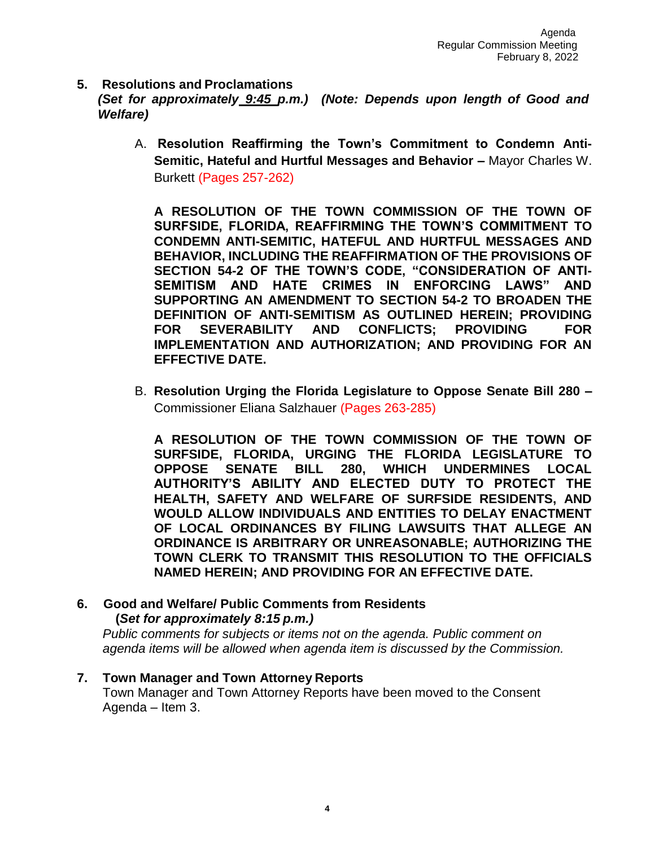**5. Resolutions and Proclamations**

*(Set for approximately 9:45 p.m.) (Note: Depends upon length of Good and Welfare)*

A. **Resolution Reaffirming the Town's Commitment to Condemn Anti-Semitic, Hateful and Hurtful Messages and Behavior –** Mayor Charles W. Burkett (Pages 257-262)

**A RESOLUTION OF THE TOWN COMMISSION OF THE TOWN OF SURFSIDE, FLORIDA, REAFFIRMING THE TOWN'S COMMITMENT TO CONDEMN ANTI-SEMITIC, HATEFUL AND HURTFUL MESSAGES AND BEHAVIOR, INCLUDING THE REAFFIRMATION OF THE PROVISIONS OF SECTION 54-2 OF THE TOWN'S CODE, "CONSIDERATION OF ANTI-SEMITISM AND HATE CRIMES IN ENFORCING LAWS" AND SUPPORTING AN AMENDMENT TO SECTION 54-2 TO BROADEN THE DEFINITION OF ANTI-SEMITISM AS OUTLINED HEREIN; PROVIDING FOR SEVERABILITY AND CONFLICTS; PROVIDING FOR IMPLEMENTATION AND AUTHORIZATION; AND PROVIDING FOR AN EFFECTIVE DATE.**

B. **Resolution Urging the Florida Legislature to Oppose Senate Bill 280 –** Commissioner Eliana Salzhauer (Pages 263-285)

**A RESOLUTION OF THE TOWN COMMISSION OF THE TOWN OF SURFSIDE, FLORIDA, URGING THE FLORIDA LEGISLATURE TO OPPOSE SENATE BILL 280, WHICH UNDERMINES LOCAL AUTHORITY'S ABILITY AND ELECTED DUTY TO PROTECT THE HEALTH, SAFETY AND WELFARE OF SURFSIDE RESIDENTS, AND WOULD ALLOW INDIVIDUALS AND ENTITIES TO DELAY ENACTMENT OF LOCAL ORDINANCES BY FILING LAWSUITS THAT ALLEGE AN ORDINANCE IS ARBITRARY OR UNREASONABLE; AUTHORIZING THE TOWN CLERK TO TRANSMIT THIS RESOLUTION TO THE OFFICIALS NAMED HEREIN; AND PROVIDING FOR AN EFFECTIVE DATE.**

## **6. Good and Welfare/ Public Comments from Residents (***Set for approximately 8:15 p.m.)*

*Public comments for subjects or items not on the agenda. Public comment on agenda items will be allowed when agenda item is discussed by the Commission.*

## **7. Town Manager and Town Attorney Reports**

Town Manager and Town Attorney Reports have been moved to the Consent Agenda – Item 3.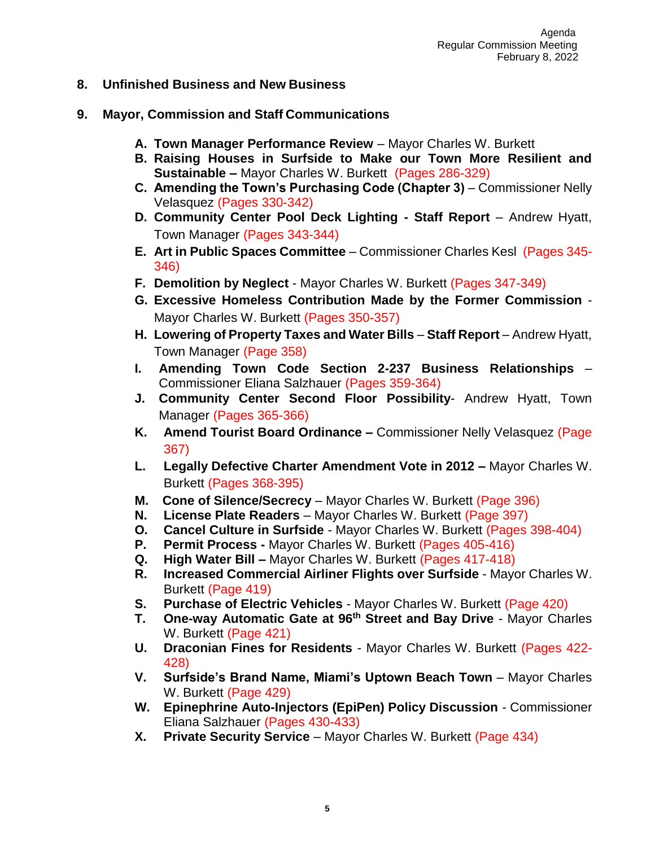- **8. Unfinished Business and New Business**
- **9. Mayor, Commission and Staff Communications**
	- **A. Town Manager Performance Review** Mayor Charles W. Burkett
	- **B. Raising Houses in Surfside to Make our Town More Resilient and Sustainable –** Mayor Charles W. Burkett (Pages 286-329)
	- **C.** Amending the Town's Purchasing Code (Chapter 3) Commissioner Nelly Velasquez (Pages 330-342)
	- **D. Community Center Pool Deck Lighting - Staff Report**  Andrew Hyatt, Town Manager (Pages 343-344)
	- **E. Art in Public Spaces Committee**  Commissioner Charles Kesl (Pages 345- 346)
	- **F. Demolition by Neglect**  Mayor Charles W. Burkett (Pages 347-349)
	- **G. Excessive Homeless Contribution Made by the Former Commission**  Mayor Charles W. Burkett (Pages 350-357)
	- **H. Lowering of Property Taxes and Water Bills Staff Report Andrew Hyatt,** Town Manager (Page 358)
	- **I. Amending Town Code Section 2-237 Business Relationships**  Commissioner Eliana Salzhauer (Pages 359-364)
	- **J. Community Center Second Floor Possibility** Andrew Hyatt, Town Manager (Pages 365-366)
	- **K. Amend Tourist Board Ordinance –** Commissioner Nelly Velasquez (Page 367)
	- **L. Legally Defective Charter Amendment Vote in 2012 –** Mayor Charles W. Burkett (Pages 368-395)
	- **M. Cone of Silence/Secrecy** Mayor Charles W. Burkett (Page 396)
	- **N. License Plate Readers**  Mayor Charles W. Burkett (Page 397)
	- **O. Cancel Culture in Surfside**  Mayor Charles W. Burkett (Pages 398-404)
	- **P. Permit Process -** Mayor Charles W. Burkett (Pages 405-416)
	- **Q. High Water Bill –** Mayor Charles W. Burkett (Pages 417-418)
	- **R. Increased Commercial Airliner Flights over Surfside** Mayor Charles W. Burkett (Page 419)
	- **S. Purchase of Electric Vehicles** Mayor Charles W. Burkett (Page 420)
	- **T. One-way Automatic Gate at 96th Street and Bay Drive**  Mayor Charles W. Burkett (Page 421)
	- **U. Draconian Fines for Residents** Mayor Charles W. Burkett (Pages 422- 428)
	- **V. Surfside's Brand Name, Miami's Uptown Beach Town**  Mayor Charles W. Burkett (Page 429)
	- **W. Epinephrine Auto-Injectors (EpiPen) Policy Discussion** Commissioner Eliana Salzhauer (Pages 430-433)
	- **X. Private Security Service** Mayor Charles W. Burkett (Page 434)